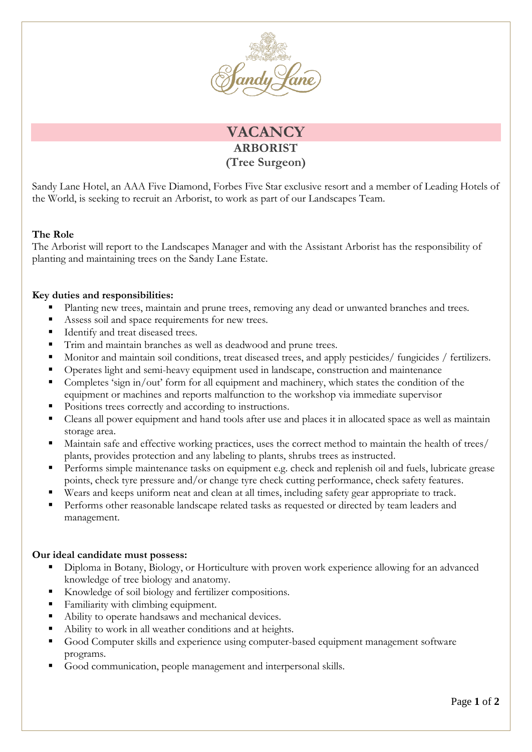

## **VACANCY ARBORIST (Tree Surgeon)**

Sandy Lane Hotel, an AAA Five Diamond, Forbes Five Star exclusive resort and a member of Leading Hotels of the World, is seeking to recruit an Arborist, to work as part of our Landscapes Team.

## **The Role**

The Arborist will report to the Landscapes Manager and with the Assistant Arborist has the responsibility of planting and maintaining trees on the Sandy Lane Estate.

## **Key duties and responsibilities:**

- Planting new trees, maintain and prune trees, removing any dead or unwanted branches and trees.
- Assess soil and space requirements for new trees.
- Identify and treat diseased trees.
- Trim and maintain branches as well as deadwood and prune trees.
- Monitor and maintain soil conditions, treat diseased trees, and apply pesticides/ fungicides / fertilizers.
- Operates light and semi-heavy equipment used in landscape, construction and maintenance
- Completes 'sign in/out' form for all equipment and machinery, which states the condition of the equipment or machines and reports malfunction to the workshop via immediate supervisor
- Positions trees correctly and according to instructions.
- Cleans all power equipment and hand tools after use and places it in allocated space as well as maintain storage area.
- Maintain safe and effective working practices, uses the correct method to maintain the health of trees/ plants, provides protection and any labeling to plants, shrubs trees as instructed.
- **Performs simple maintenance tasks on equipment e.g. check and replenish oil and fuels, lubricate grease** points, check tyre pressure and/or change tyre check cutting performance, check safety features.
- Wears and keeps uniform neat and clean at all times, including safety gear appropriate to track.
- Performs other reasonable landscape related tasks as requested or directed by team leaders and management.

## **Our ideal candidate must possess:**

- Diploma in Botany, Biology, or Horticulture with proven work experience allowing for an advanced knowledge of tree biology and anatomy.
- Knowledge of soil biology and fertilizer compositions.
- Familiarity with climbing equipment.
- Ability to operate handsaws and mechanical devices.
- Ability to work in all weather conditions and at heights.
- Good Computer skills and experience using computer-based equipment management software programs.
- Good communication, people management and interpersonal skills.